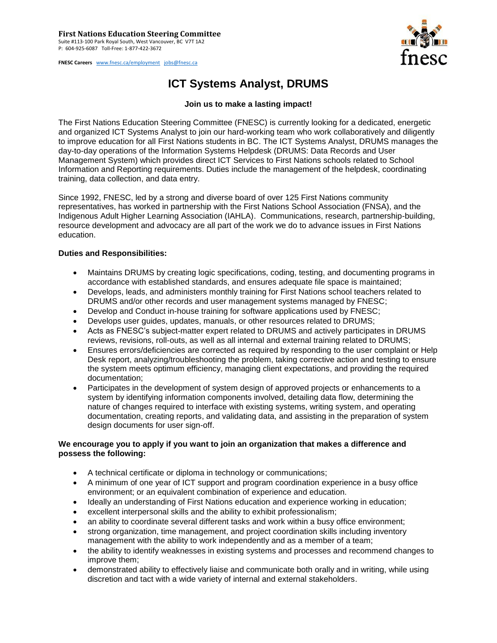**FNESC Careers** [www.fnesc.ca/employment](http://www.fnesc.ca/employment) [jobs@fnesc.ca](mailto:jobs@fnesc.ca) 



## **ICT Systems Analyst, DRUMS**

## **Join us to make a lasting impact!**

The First Nations Education Steering Committee (FNESC) is currently looking for a dedicated, energetic and organized ICT Systems Analyst to join our hard-working team who work collaboratively and diligently to improve education for all First Nations students in BC. The ICT Systems Analyst, DRUMS manages the day-to-day operations of the Information Systems Helpdesk (DRUMS: Data Records and User Management System) which provides direct ICT Services to First Nations schools related to School Information and Reporting requirements. Duties include the management of the helpdesk, coordinating training, data collection, and data entry.

Since 1992, FNESC, led by a strong and diverse board of over 125 First Nations community representatives, has worked in partnership with the First Nations School Association (FNSA), and the Indigenous Adult Higher Learning Association (IAHLA). Communications, research, partnership-building, resource development and advocacy are all part of the work we do to advance issues in First Nations education.

## **Duties and Responsibilities:**

- Maintains DRUMS by creating logic specifications, coding, testing, and documenting programs in accordance with established standards, and ensures adequate file space is maintained;
- Develops, leads, and administers monthly training for First Nations school teachers related to DRUMS and/or other records and user management systems managed by FNESC;
- Develop and Conduct in-house training for software applications used by FNESC;
- Develops user guides, updates, manuals, or other resources related to DRUMS;
- Acts as FNESC's subject-matter expert related to DRUMS and actively participates in DRUMS reviews, revisions, roll-outs, as well as all internal and external training related to DRUMS;
- Ensures errors/deficiencies are corrected as required by responding to the user complaint or Help Desk report, analyzing/troubleshooting the problem, taking corrective action and testing to ensure the system meets optimum efficiency, managing client expectations, and providing the required documentation;
- Participates in the development of system design of approved projects or enhancements to a system by identifying information components involved, detailing data flow, determining the nature of changes required to interface with existing systems, writing system, and operating documentation, creating reports, and validating data, and assisting in the preparation of system design documents for user sign-off.

## **We encourage you to apply if you want to join an organization that makes a difference and possess the following:**

- A technical certificate or diploma in technology or communications;
- A minimum of one year of ICT support and program coordination experience in a busy office environment; or an equivalent combination of experience and education.
- Ideally an understanding of First Nations education and experience working in education;
- excellent interpersonal skills and the ability to exhibit professionalism;
- an ability to coordinate several different tasks and work within a busy office environment;
- strong organization, time management, and project coordination skills including inventory management with the ability to work independently and as a member of a team;
- the ability to identify weaknesses in existing systems and processes and recommend changes to improve them;
- demonstrated ability to effectively liaise and communicate both orally and in writing, while using discretion and tact with a wide variety of internal and external stakeholders.